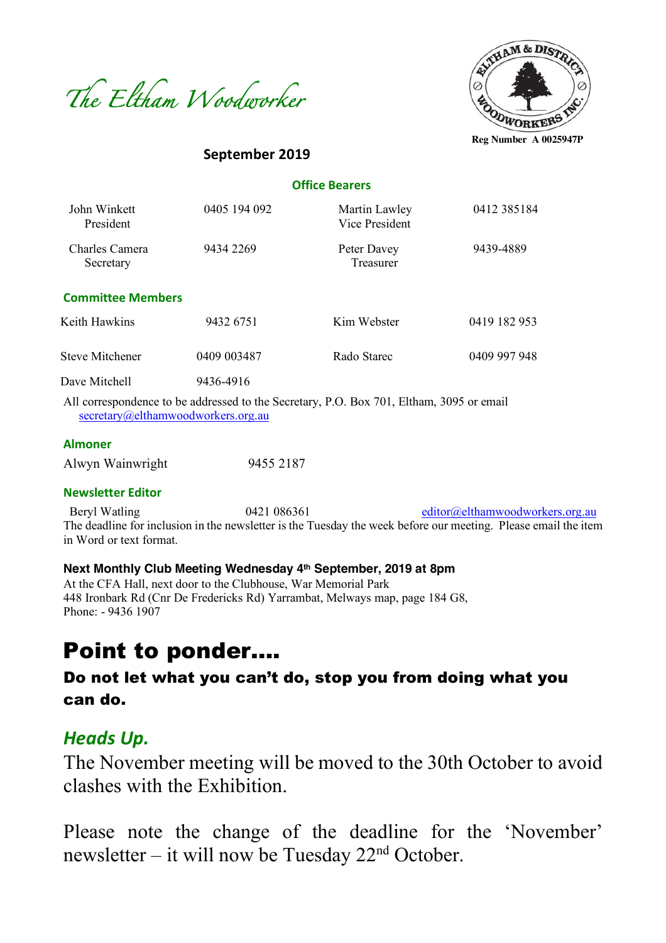



**September 2019**

**Reg Number A 0025947P**

# **Office Bearers**

| John Winkett<br>President   | 0405 194 092 | Martin Lawley<br>Vice President | 0412 385184  |
|-----------------------------|--------------|---------------------------------|--------------|
| Charles Camera<br>Secretary | 9434 2269    | Peter Davey<br>Treasurer        | 9439-4889    |
| <b>Committee Members</b>    |              |                                 |              |
| Keith Hawkins               | 9432 6751    | Kim Webster                     | 0419 182 953 |
| <b>Steve Mitchener</b>      | 0409 003487  | Rado Starec                     | 0409 997 948 |
| Dave Mitchell               | 9436-4916    |                                 |              |

All correspondence to be addressed to the Secretary, P.O. Box 701, Eltham, 3095 or email secretary@elthamwoodworkers.org.au

#### **Almoner**

| Alwyn Wainwright | 9455 2187 |
|------------------|-----------|
|                  |           |

# **Newsletter Editor**

Beryl Watling  $0421\,086361$  editor@elthamwoodworkers.org.au The deadline for inclusion in the newsletter is the Tuesday the week before our meeting. Please email the item in Word or text format.

#### **Next Monthly Club Meeting Wednesday 4th September, 2019 at 8pm**

At the CFA Hall, next door to the Clubhouse, War Memorial Park 448 Ironbark Rd (Cnr De Fredericks Rd) Yarrambat, Melways map, page 184 G8, Phone: - 9436 1907

# Point to ponder….

# Do not let what you can't do, stop you from doing what you can do.

# *Heads Up.*

The November meeting will be moved to the 30th October to avoid clashes with the Exhibition.

Please note the change of the deadline for the 'November' newsletter – it will now be Tuesday  $22<sup>nd</sup>$  October.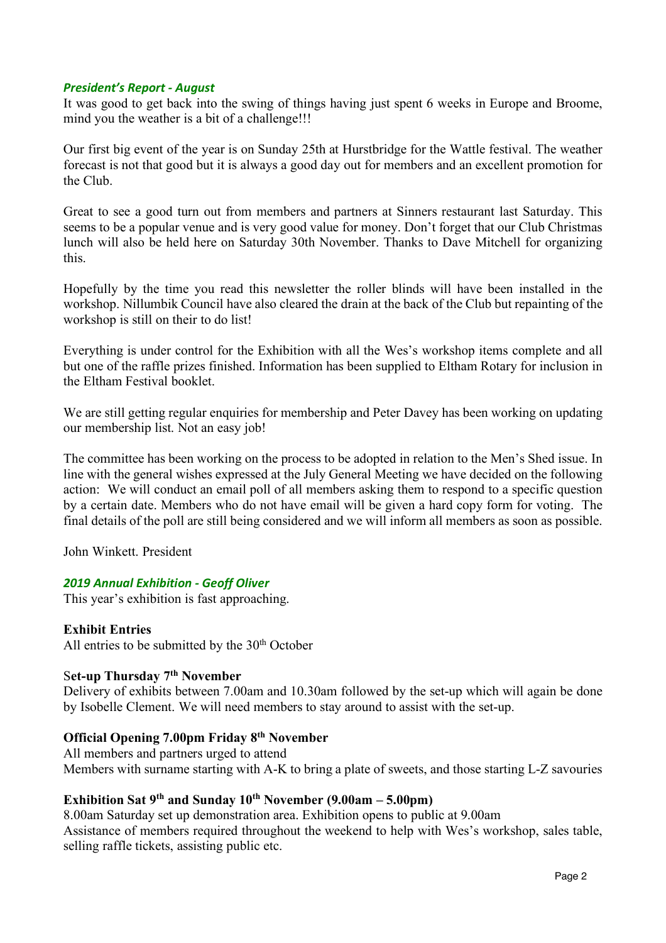#### *President's Report - August*

It was good to get back into the swing of things having just spent 6 weeks in Europe and Broome, mind you the weather is a bit of a challenge!!!

Our first big event of the year is on Sunday 25th at Hurstbridge for the Wattle festival. The weather forecast is not that good but it is always a good day out for members and an excellent promotion for the Club.

Great to see a good turn out from members and partners at Sinners restaurant last Saturday. This seems to be a popular venue and is very good value for money. Don't forget that our Club Christmas lunch will also be held here on Saturday 30th November. Thanks to Dave Mitchell for organizing this.

Hopefully by the time you read this newsletter the roller blinds will have been installed in the workshop. Nillumbik Council have also cleared the drain at the back of the Club but repainting of the workshop is still on their to do list!

Everything is under control for the Exhibition with all the Wes's workshop items complete and all but one of the raffle prizes finished. Information has been supplied to Eltham Rotary for inclusion in the Eltham Festival booklet.

We are still getting regular enquiries for membership and Peter Davey has been working on updating our membership list. Not an easy job!

The committee has been working on the process to be adopted in relation to the Men's Shed issue. In line with the general wishes expressed at the July General Meeting we have decided on the following action: We will conduct an email poll of all members asking them to respond to a specific question by a certain date. Members who do not have email will be given a hard copy form for voting. The final details of the poll are still being considered and we will inform all members as soon as possible.

John Winkett. President

# *2019 Annual Exhibition - Geoff Oliver*

This year's exhibition is fast approaching.

# **Exhibit Entries**

All entries to be submitted by the  $30<sup>th</sup>$  October

# S**et-up Thursday 7th November**

Delivery of exhibits between 7.00am and 10.30am followed by the set-up which will again be done by Isobelle Clement. We will need members to stay around to assist with the set-up.

# **Official Opening 7.00pm Friday 8th November**

All members and partners urged to attend Members with surname starting with A-K to bring a plate of sweets, and those starting L-Z savouries

# **Exhibition Sat 9th and Sunday 10th November (9.00am – 5.00pm)**

8.00am Saturday set up demonstration area. Exhibition opens to public at 9.00am Assistance of members required throughout the weekend to help with Wes's workshop, sales table, selling raffle tickets, assisting public etc.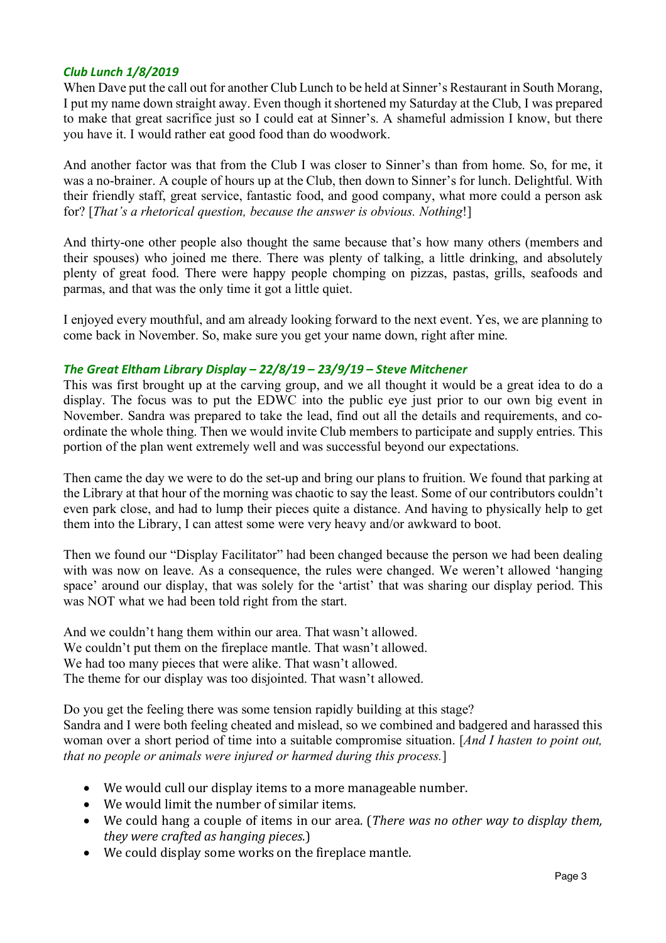# *Club Lunch 1/8/2019*

When Dave put the call out for another Club Lunch to be held at Sinner's Restaurant in South Morang, I put my name down straight away. Even though it shortened my Saturday at the Club, I was prepared to make that great sacrifice just so I could eat at Sinner's. A shameful admission I know, but there you have it. I would rather eat good food than do woodwork.

And another factor was that from the Club I was closer to Sinner's than from home. So, for me, it was a no-brainer. A couple of hours up at the Club, then down to Sinner's for lunch. Delightful. With their friendly staff, great service, fantastic food, and good company, what more could a person ask for? [*That's a rhetorical question, because the answer is obvious. Nothing*!]

And thirty-one other people also thought the same because that's how many others (members and their spouses) who joined me there. There was plenty of talking, a little drinking, and absolutely plenty of great food. There were happy people chomping on pizzas, pastas, grills, seafoods and parmas, and that was the only time it got a little quiet.

I enjoyed every mouthful, and am already looking forward to the next event. Yes, we are planning to come back in November. So, make sure you get your name down, right after mine.

# *The Great Eltham Library Display – 22/8/19 – 23/9/19 – Steve Mitchener*

This was first brought up at the carving group, and we all thought it would be a great idea to do a display. The focus was to put the EDWC into the public eye just prior to our own big event in November. Sandra was prepared to take the lead, find out all the details and requirements, and coordinate the whole thing. Then we would invite Club members to participate and supply entries. This portion of the plan went extremely well and was successful beyond our expectations.

Then came the day we were to do the set-up and bring our plans to fruition. We found that parking at the Library at that hour of the morning was chaotic to say the least. Some of our contributors couldn't even park close, and had to lump their pieces quite a distance. And having to physically help to get them into the Library, I can attest some were very heavy and/or awkward to boot.

Then we found our "Display Facilitator" had been changed because the person we had been dealing with was now on leave. As a consequence, the rules were changed. We weren't allowed 'hanging space' around our display, that was solely for the 'artist' that was sharing our display period. This was NOT what we had been told right from the start.

And we couldn't hang them within our area. That wasn't allowed. We couldn't put them on the fireplace mantle. That wasn't allowed. We had too many pieces that were alike. That wasn't allowed. The theme for our display was too disjointed. That wasn't allowed.

Do you get the feeling there was some tension rapidly building at this stage? Sandra and I were both feeling cheated and mislead, so we combined and badgered and harassed this woman over a short period of time into a suitable compromise situation. [*And I hasten to point out, that no people or animals were injured or harmed during this process.*]

- We would cull our display items to a more manageable number.
- We would limit the number of similar items.
- We could hang a couple of items in our area. (*There was no other way to display them*, *they were crafted as hanging pieces*.)
- We could display some works on the fireplace mantle.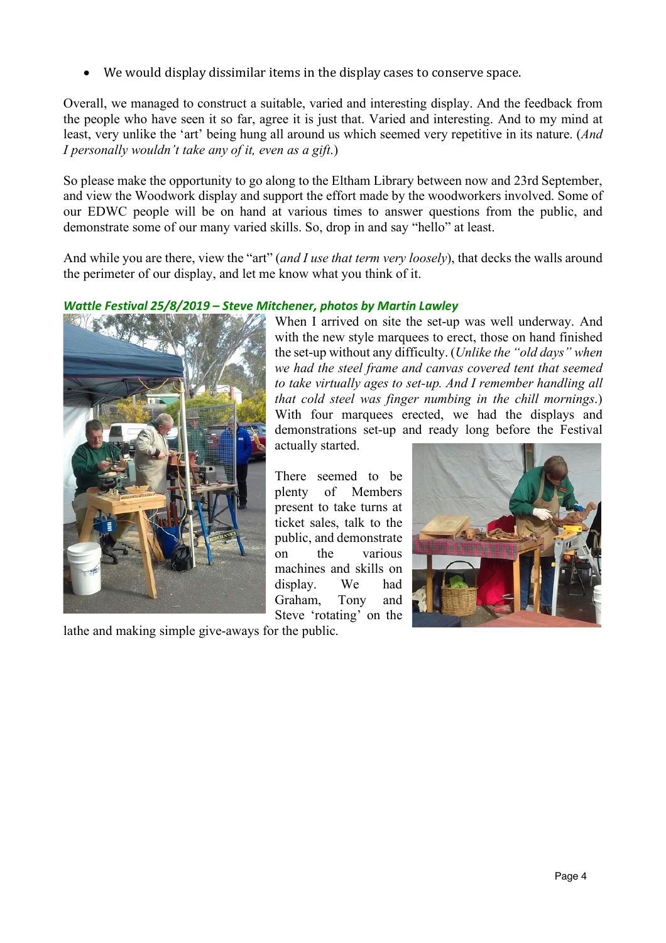We would display dissimilar items in the display cases to conserve space.

Overall, we managed to construct a suitable, varied and interesting display. And the feedback from the people who have seen it so far, agree it is just that. Varied and interesting. And to my mind at least, very unlike the 'art' being hung all around us which seemed very repetitive in its nature. (*And I personally wouldn't take any of it, even as a gift*.)

So please make the opportunity to go along to the Eltham Library between now and 23rd September, and view the Woodwork display and support the effort made by the woodworkers involved. Some of our EDWC people will be on hand at various times to answer questions from the public, and demonstrate some of our many varied skills. So, drop in and say "hello" at least.

And while you are there, view the "art" (*and I use that term very loosely*), that decks the walls around the perimeter of our display, and let me know what you think of it.

# *Wattle Festival 25/8/2019 – Steve Mitchener, photos by Martin Lawley*



lathe and making simple give-aways for the public.

When I arrived on site the set-up was well underway. And with the new style marquees to erect, those on hand finished the set-up without any difficulty. (*Unlike the "old days" when we had the steel frame and canvas covered tent that seemed to take virtually ages to set-up. And I remember handling all that cold steel was finger numbing in the chill mornings*.) With four marquees erected, we had the displays and demonstrations set-up and ready long before the Festival actually started.

There seemed to be plenty of Members present to take turns at ticket sales, talk to the public, and demonstrate on the various machines and skills on display. We had Graham, Tony and Steve 'rotating' on the

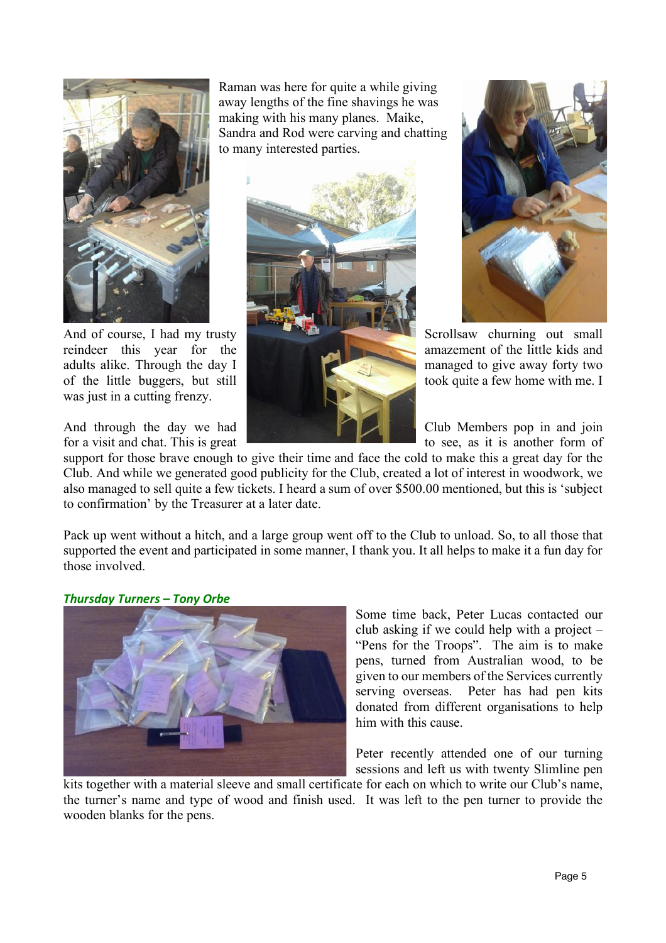

was just in a cutting frenzy.

Raman was here for quite a while giving away lengths of the fine shavings he was making with his many planes. Maike, Sandra and Rod were carving and chatting to many interested parties.





And of course, I had my trusty reindeer this year for the state of the amazement of the little kids and adults alike. Through the day I managed to give away forty two of the little buggers, but still took quite a few home with me. I

And through the day we had **Club Members** pop in and join for a visit and chat. This is great to see, as it is another form of

support for those brave enough to give their time and face the cold to make this a great day for the Club. And while we generated good publicity for the Club, created a lot of interest in woodwork, we also managed to sell quite a few tickets. I heard a sum of over \$500.00 mentioned, but this is 'subject to confirmation' by the Treasurer at a later date.

Pack up went without a hitch, and a large group went off to the Club to unload. So, to all those that supported the event and participated in some manner, I thank you. It all helps to make it a fun day for those involved.

# *Thursday Turners – Tony Orbe*



Some time back, Peter Lucas contacted our club asking if we could help with a project – "Pens for the Troops". The aim is to make pens, turned from Australian wood, to be given to our members of the Services currently serving overseas. Peter has had pen kits donated from different organisations to help him with this cause.

Peter recently attended one of our turning sessions and left us with twenty Slimline pen

kits together with a material sleeve and small certificate for each on which to write our Club's name, the turner's name and type of wood and finish used. It was left to the pen turner to provide the wooden blanks for the pens.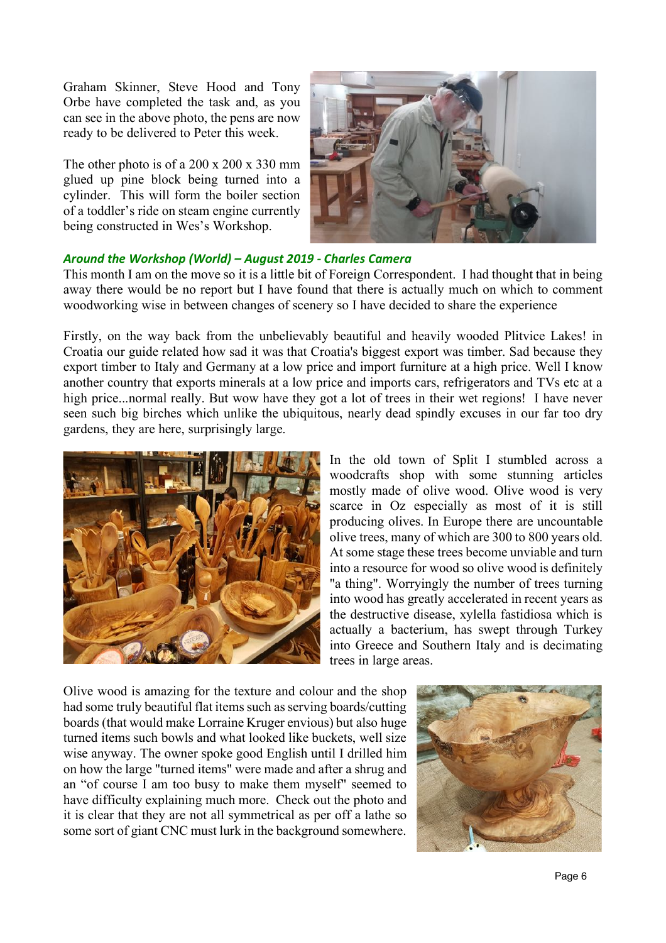Graham Skinner, Steve Hood and Tony Orbe have completed the task and, as you can see in the above photo, the pens are now ready to be delivered to Peter this week.

The other photo is of a 200 x 200 x 330 mm glued up pine block being turned into a cylinder. This will form the boiler section of a toddler's ride on steam engine currently being constructed in Wes's Workshop.



# *Around the Workshop (World) – August 2019 - Charles Camera*

This month I am on the move so it is a little bit of Foreign Correspondent. I had thought that in being away there would be no report but I have found that there is actually much on which to comment woodworking wise in between changes of scenery so I have decided to share the experience

Firstly, on the way back from the unbelievably beautiful and heavily wooded Plitvice Lakes! in Croatia our guide related how sad it was that Croatia's biggest export was timber. Sad because they export timber to Italy and Germany at a low price and import furniture at a high price. Well I know another country that exports minerals at a low price and imports cars, refrigerators and TVs etc at a high price...normal really. But wow have they got a lot of trees in their wet regions! I have never seen such big birches which unlike the ubiquitous, nearly dead spindly excuses in our far too dry gardens, they are here, surprisingly large.



In the old town of Split I stumbled across a woodcrafts shop with some stunning articles mostly made of olive wood. Olive wood is very scarce in Oz especially as most of it is still producing olives. In Europe there are uncountable olive trees, many of which are 300 to 800 years old. At some stage these trees become unviable and turn into a resource for wood so olive wood is definitely "a thing". Worryingly the number of trees turning into wood has greatly accelerated in recent years as the destructive disease, xylella fastidiosa which is actually a bacterium, has swept through Turkey into Greece and Southern Italy and is decimating trees in large areas.

Olive wood is amazing for the texture and colour and the shop had some truly beautiful flat items such as serving boards/cutting boards (that would make Lorraine Kruger envious) but also huge turned items such bowls and what looked like buckets, well size wise anyway. The owner spoke good English until I drilled him on how the large "turned items" were made and after a shrug and an "of course I am too busy to make them myself" seemed to have difficulty explaining much more. Check out the photo and it is clear that they are not all symmetrical as per off a lathe so some sort of giant CNC must lurk in the background somewhere.

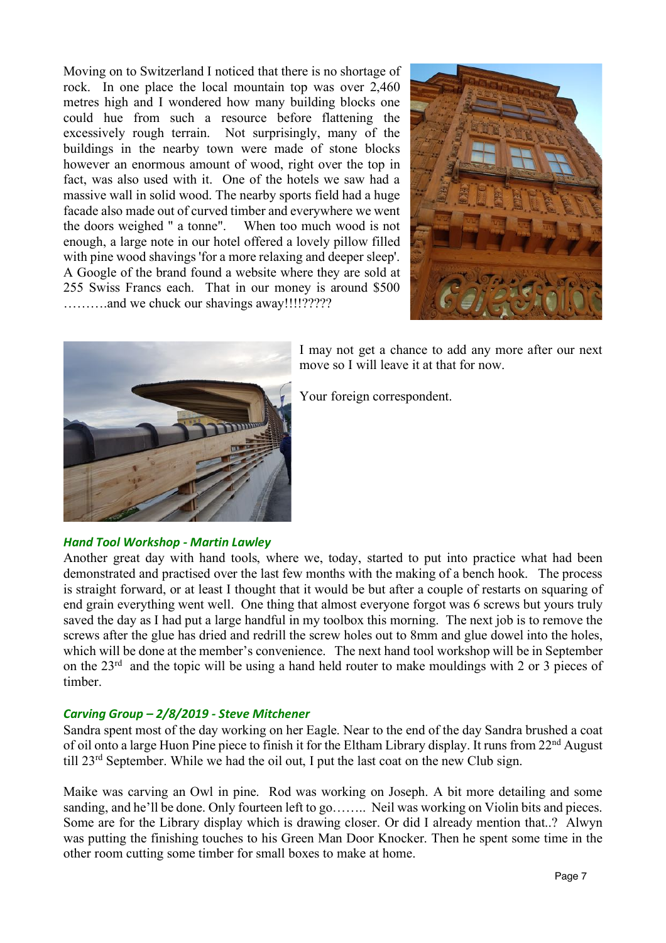Moving on to Switzerland I noticed that there is no shortage of rock. In one place the local mountain top was over 2,460 metres high and I wondered how many building blocks one could hue from such a resource before flattening the excessively rough terrain. Not surprisingly, many of the buildings in the nearby town were made of stone blocks however an enormous amount of wood, right over the top in fact, was also used with it. One of the hotels we saw had a massive wall in solid wood. The nearby sports field had a huge facade also made out of curved timber and everywhere we went the doors weighed " a tonne". When too much wood is not enough, a large note in our hotel offered a lovely pillow filled with pine wood shavings 'for a more relaxing and deeper sleep'. A Google of the brand found a website where they are sold at 255 Swiss Francs each. That in our money is around \$500 ……….and we chuck our shavings away!!!!?????





I may not get a chance to add any more after our next move so I will leave it at that for now.

Your foreign correspondent.

# *Hand Tool Workshop - Martin Lawley*

Another great day with hand tools, where we, today, started to put into practice what had been demonstrated and practised over the last few months with the making of a bench hook. The process is straight forward, or at least I thought that it would be but after a couple of restarts on squaring of end grain everything went well. One thing that almost everyone forgot was 6 screws but yours truly saved the day as I had put a large handful in my toolbox this morning. The next job is to remove the screws after the glue has dried and redrill the screw holes out to 8mm and glue dowel into the holes, which will be done at the member's convenience. The next hand tool workshop will be in September on the 23rd and the topic will be using a hand held router to make mouldings with 2 or 3 pieces of timber.

# *Carving Group – 2/8/2019 - Steve Mitchener*

Sandra spent most of the day working on her Eagle. Near to the end of the day Sandra brushed a coat of oil onto a large Huon Pine piece to finish it for the Eltham Library display. It runs from 22nd August till 23rd September. While we had the oil out, I put the last coat on the new Club sign.

Maike was carving an Owl in pine. Rod was working on Joseph. A bit more detailing and some sanding, and he'll be done. Only fourteen left to go…….. Neil was working on Violin bits and pieces. Some are for the Library display which is drawing closer. Or did I already mention that..? Alwyn was putting the finishing touches to his Green Man Door Knocker. Then he spent some time in the other room cutting some timber for small boxes to make at home.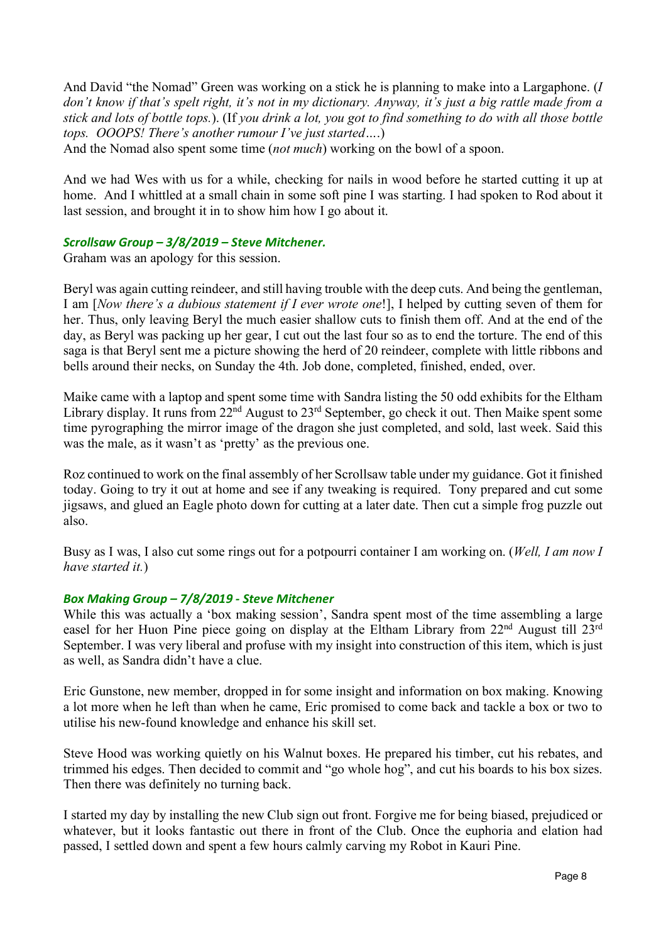And David "the Nomad" Green was working on a stick he is planning to make into a Largaphone. (*I don't know if that's spelt right, it's not in my dictionary. Anyway, it's just a big rattle made from a stick and lots of bottle tops.*). (If *you drink a lot, you got to find something to do with all those bottle tops. OOOPS! There's another rumour I've just started…*.)

And the Nomad also spent some time (*not much*) working on the bowl of a spoon.

And we had Wes with us for a while, checking for nails in wood before he started cutting it up at home. And I whittled at a small chain in some soft pine I was starting. I had spoken to Rod about it last session, and brought it in to show him how I go about it.

# *Scrollsaw Group – 3/8/2019 – Steve Mitchener.*

Graham was an apology for this session.

Beryl was again cutting reindeer, and still having trouble with the deep cuts. And being the gentleman, I am [*Now there's a dubious statement if I ever wrote one*!], I helped by cutting seven of them for her. Thus, only leaving Beryl the much easier shallow cuts to finish them off. And at the end of the day, as Beryl was packing up her gear, I cut out the last four so as to end the torture. The end of this saga is that Beryl sent me a picture showing the herd of 20 reindeer, complete with little ribbons and bells around their necks, on Sunday the 4th. Job done, completed, finished, ended, over.

Maike came with a laptop and spent some time with Sandra listing the 50 odd exhibits for the Eltham Library display. It runs from  $22^{\text{nd}}$  August to  $23^{\text{rd}}$  September, go check it out. Then Maike spent some time pyrographing the mirror image of the dragon she just completed, and sold, last week. Said this was the male, as it wasn't as 'pretty' as the previous one.

Roz continued to work on the final assembly of her Scrollsaw table under my guidance. Got it finished today. Going to try it out at home and see if any tweaking is required. Tony prepared and cut some jigsaws, and glued an Eagle photo down for cutting at a later date. Then cut a simple frog puzzle out also.

Busy as I was, I also cut some rings out for a potpourri container I am working on. (*Well, I am now I have started it.*)

# *Box Making Group – 7/8/2019 - Steve Mitchener*

While this was actually a 'box making session', Sandra spent most of the time assembling a large easel for her Huon Pine piece going on display at the Eltham Library from 22<sup>nd</sup> August till 23<sup>rd</sup> September. I was very liberal and profuse with my insight into construction of this item, which is just as well, as Sandra didn't have a clue.

Eric Gunstone, new member, dropped in for some insight and information on box making. Knowing a lot more when he left than when he came, Eric promised to come back and tackle a box or two to utilise his new-found knowledge and enhance his skill set.

Steve Hood was working quietly on his Walnut boxes. He prepared his timber, cut his rebates, and trimmed his edges. Then decided to commit and "go whole hog", and cut his boards to his box sizes. Then there was definitely no turning back.

I started my day by installing the new Club sign out front. Forgive me for being biased, prejudiced or whatever, but it looks fantastic out there in front of the Club. Once the euphoria and elation had passed, I settled down and spent a few hours calmly carving my Robot in Kauri Pine.